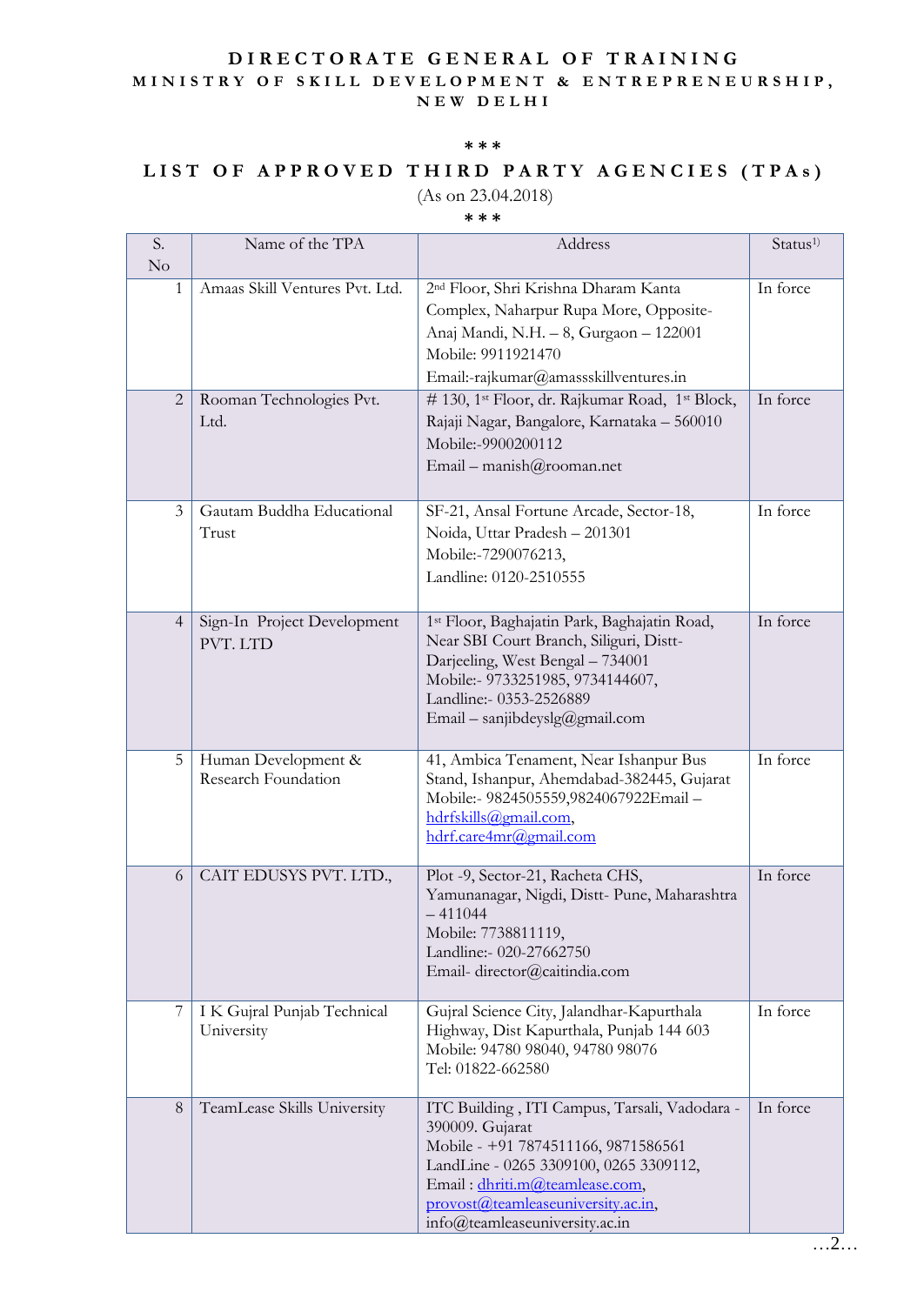### **D I R E C T O R A T E G E N E R A L O F T R A I N I N G** M I N I S T R Y O F S K I L L D E V E L O P M E N T & E N T R E P R E N E U R S H I P, **N E W D E L H I**

#### **\*\*\***

# LIST OF APPROVED THIRD PARTY AGENCIES (TPAs)

## (As on 23.04.2018)

### **\*\*\***

| S.<br>No       | Name of the TPA                            | Address                                                                                                                                                                                                                                                     | Status <sup>1)</sup> |
|----------------|--------------------------------------------|-------------------------------------------------------------------------------------------------------------------------------------------------------------------------------------------------------------------------------------------------------------|----------------------|
| 1              | Amaas Skill Ventures Pvt. Ltd.             | 2 <sup>nd</sup> Floor, Shri Krishna Dharam Kanta<br>Complex, Naharpur Rupa More, Opposite-<br>Anaj Mandi, N.H. - 8, Gurgaon - 122001<br>Mobile: 9911921470<br>Email:-rajkumar@amassskillventures.in                                                         | In force             |
| $\overline{2}$ | Rooman Technologies Pvt.<br>Ltd.           | # 130, 1 <sup>st</sup> Floor, dr. Rajkumar Road, 1 <sup>st</sup> Block,<br>Rajaji Nagar, Bangalore, Karnataka - 560010<br>Mobile:-9900200112<br>Email – manish@rooman.net                                                                                   | In force             |
| 3              | Gautam Buddha Educational<br>Trust         | SF-21, Ansal Fortune Arcade, Sector-18,<br>Noida, Uttar Pradesh - 201301<br>Mobile:-7290076213,<br>Landline: 0120-2510555                                                                                                                                   | In force             |
| $\overline{4}$ | Sign-In Project Development<br>PVT. LTD    | 1st Floor, Baghajatin Park, Baghajatin Road,<br>Near SBI Court Branch, Siliguri, Distt-<br>Darjeeling, West Bengal - 734001<br>Mobile:- 9733251985, 9734144607,<br>Landline:- 0353-2526889<br>Email – sanjibdeyslg@gmail.com                                | In force             |
| 5              | Human Development &<br>Research Foundation | 41, Ambica Tenament, Near Ishanpur Bus<br>Stand, Ishanpur, Ahemdabad-382445, Gujarat<br>Mobile:- 9824505559,9824067922Email-<br>hdrfskills@gmail.com,<br>hdrf.care4mr@gmail.com                                                                             | In force             |
| 6              | CAIT EDUSYS PVT. LTD.,                     | Plot -9, Sector-21, Racheta CHS,<br>Yamunanagar, Nigdi, Distt-Pune, Maharashtra<br>$-411044$<br>Mobile: 7738811119,<br>Landline:- 020-27662750<br>Email-director@caitindia.com                                                                              | In force             |
|                | I K Gujral Punjab Technical<br>University  | Gujral Science City, Jalandhar-Kapurthala<br>Highway, Dist Kapurthala, Punjab 144 603<br>Mobile: 94780 98040, 94780 98076<br>Tel: 01822-662580                                                                                                              | In force             |
| 8              | TeamLease Skills University                | ITC Building, ITI Campus, Tarsali, Vadodara -<br>390009. Gujarat<br>Mobile - +91 7874511166, 9871586561<br>LandLine - 0265 3309100, 0265 3309112,<br>Email: dhriti.m@teamlease.com,<br>provost@teamleaseuniversity.ac.in,<br>info@teamleaseuniversity.ac.in | In force             |